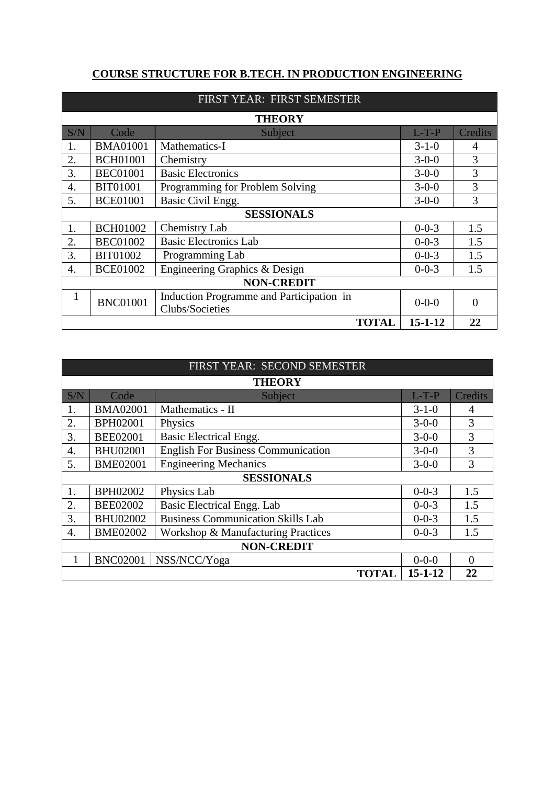## **COURSE STRUCTURE FOR B.TECH. IN PRODUCTION ENGINEERING**

|                  | FIRST YEAR: FIRST SEMESTER          |                                                             |             |         |  |  |
|------------------|-------------------------------------|-------------------------------------------------------------|-------------|---------|--|--|
|                  |                                     | <b>THEORY</b>                                               |             |         |  |  |
| S/N              | Code                                | Subject                                                     | $L-T-P$     | Credits |  |  |
| 1.               | <b>BMA01001</b>                     | Mathematics-I                                               | $3 - 1 - 0$ | 4       |  |  |
| 2.               | <b>BCH01001</b>                     | Chemistry                                                   | $3 - 0 - 0$ | 3       |  |  |
| 3.               | <b>BEC01001</b>                     | <b>Basic Electronics</b>                                    | $3 - 0 - 0$ | 3       |  |  |
| $\overline{4}$ . | <b>BIT01001</b>                     | Programming for Problem Solving                             | $3 - 0 - 0$ | 3       |  |  |
| 5.               | <b>BCE01001</b>                     | Basic Civil Engg.                                           | $3 - 0 - 0$ | 3       |  |  |
|                  |                                     | <b>SESSIONALS</b>                                           |             |         |  |  |
| 1.               | <b>BCH01002</b>                     | Chemistry Lab                                               | $0 - 0 - 3$ | 1.5     |  |  |
| 2.               | <b>BEC01002</b>                     | <b>Basic Electronics Lab</b>                                | $0 - 0 - 3$ | 1.5     |  |  |
| 3.               | <b>BIT01002</b>                     | Programming Lab                                             | $0 - 0 - 3$ | 1.5     |  |  |
| 4.               | <b>BCE01002</b>                     | Engineering Graphics & Design                               | $0 - 0 - 3$ | 1.5     |  |  |
|                  | <b>NON-CREDIT</b>                   |                                                             |             |         |  |  |
|                  | <b>BNC01001</b>                     | Induction Programme and Participation in<br>Clubs/Societies | $0 - 0 - 0$ | ∩       |  |  |
|                  | 22<br><b>TOTAL</b><br>$15 - 1 - 12$ |                                                             |             |         |  |  |

| FIRST YEAR: SECOND SEMESTER |                                     |                                           |             |                |  |  |
|-----------------------------|-------------------------------------|-------------------------------------------|-------------|----------------|--|--|
|                             |                                     | <b>THEORY</b>                             |             |                |  |  |
| S/N                         | Code                                | Subject                                   | $L-T-P$     | Credits        |  |  |
| 1.                          | <b>BMA02001</b>                     | Mathematics - II                          | $3 - 1 - 0$ | $\overline{4}$ |  |  |
| 2.                          | BPH02001                            | Physics                                   | $3 - 0 - 0$ | 3              |  |  |
| 3.                          | <b>BEE02001</b>                     | <b>Basic Electrical Engg.</b>             | $3 - 0 - 0$ | 3              |  |  |
| 4.                          | <b>BHU02001</b>                     | <b>English For Business Communication</b> | $3 - 0 - 0$ | 3              |  |  |
| 5.                          | <b>BME02001</b>                     | <b>Engineering Mechanics</b>              | $3 - 0 - 0$ | 3              |  |  |
|                             |                                     | <b>SESSIONALS</b>                         |             |                |  |  |
| 1.                          | BPH02002                            | Physics Lab                               | $0 - 0 - 3$ | 1.5            |  |  |
| 2.                          | <b>BEE02002</b>                     | Basic Electrical Engg. Lab                | $0 - 0 - 3$ | 1.5            |  |  |
| 3.                          | <b>BHU02002</b>                     | <b>Business Communication Skills Lab</b>  | $0 - 0 - 3$ | 1.5            |  |  |
| 4.                          | <b>BME02002</b>                     | Workshop & Manufacturing Practices        | $0 - 0 - 3$ | 1.5            |  |  |
|                             | <b>NON-CREDIT</b>                   |                                           |             |                |  |  |
|                             | <b>BNC02001</b>                     | NSS/NCC/Yoga                              | $0 - 0 - 0$ | $\Omega$       |  |  |
|                             | $15 - 1 - 12$<br><b>TOTAL</b><br>22 |                                           |             |                |  |  |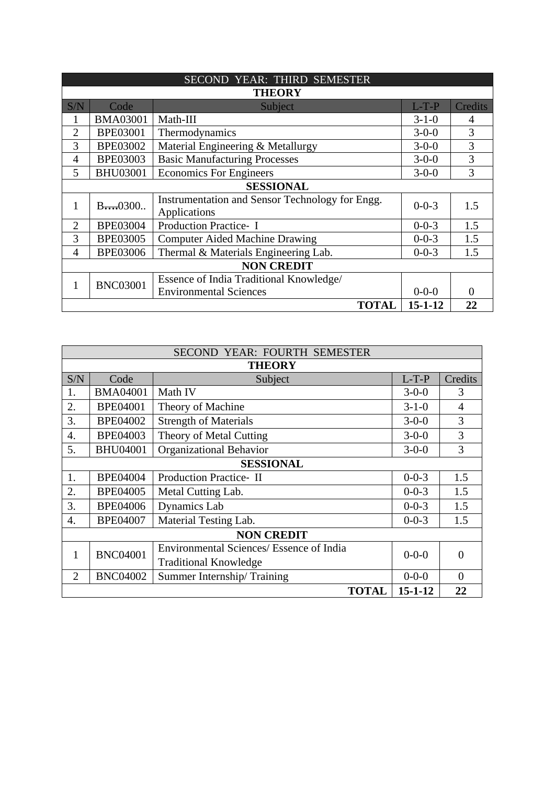|                | SECOND YEAR: THIRD SEMESTER               |                                                                 |             |                |  |  |
|----------------|-------------------------------------------|-----------------------------------------------------------------|-------------|----------------|--|--|
|                |                                           | <b>THEORY</b>                                                   |             |                |  |  |
| S/N            | Code                                      | Subject                                                         | $L-T-P$     | Credits        |  |  |
|                | <b>BMA03001</b>                           | Math-III                                                        | $3 - 1 - 0$ | $\overline{4}$ |  |  |
| $\overline{2}$ | <b>BPE03001</b>                           | Thermodynamics                                                  | $3 - 0 - 0$ | 3              |  |  |
| 3              | <b>BPE03002</b>                           | Material Engineering & Metallurgy                               | $3 - 0 - 0$ | 3              |  |  |
| $\overline{4}$ | <b>BPE03003</b>                           | <b>Basic Manufacturing Processes</b>                            | $3 - 0 - 0$ | 3              |  |  |
| 5              | <b>BHU03001</b>                           | <b>Economics For Engineers</b>                                  | $3 - 0 - 0$ | 3              |  |  |
|                |                                           | <b>SESSIONAL</b>                                                |             |                |  |  |
| 1              | $B_{\cdots 0}300$                         | Instrumentation and Sensor Technology for Engg.<br>Applications | $0 - 0 - 3$ | 1.5            |  |  |
| $\overline{2}$ | Production Practice- I<br><b>BPE03004</b> |                                                                 | $0 - 0 - 3$ | 1.5            |  |  |
| 3              | <b>BPE03005</b>                           | <b>Computer Aided Machine Drawing</b>                           | $0 - 0 - 3$ | 1.5            |  |  |
| $\overline{4}$ | <b>BPE03006</b>                           | Thermal & Materials Engineering Lab.                            | $0 - 0 - 3$ | 1.5            |  |  |
|                | <b>NON CREDIT</b>                         |                                                                 |             |                |  |  |
| 1              |                                           | Essence of India Traditional Knowledge/                         |             |                |  |  |
|                | <b>BNC03001</b>                           | <b>Environmental Sciences</b>                                   | $0 - 0 - 0$ | $\Omega$       |  |  |
|                | $15 - 1 - 12$<br><b>TOTAL</b><br>22       |                                                                 |             |                |  |  |

|                  | SECOND YEAR: FOURTH SEMESTER        |                                          |             |                |  |
|------------------|-------------------------------------|------------------------------------------|-------------|----------------|--|
|                  |                                     | <b>THEORY</b>                            |             |                |  |
| S/N              | Code                                | $L-T-P$                                  | Credits     |                |  |
| 1.               | <b>BMA04001</b>                     | Math IV                                  | $3 - 0 - 0$ | 3              |  |
| 2.               | <b>BPE04001</b>                     | Theory of Machine                        | $3 - 1 - 0$ | $\overline{4}$ |  |
| 3.               | <b>BPE04002</b>                     | <b>Strength of Materials</b>             | $3 - 0 - 0$ | 3              |  |
| $\overline{4}$ . | <b>BPE04003</b>                     | Theory of Metal Cutting                  | $3 - 0 - 0$ | 3              |  |
| 5.               | <b>BHU04001</b>                     | <b>Organizational Behavior</b>           | $3 - 0 - 0$ | 3              |  |
|                  |                                     | <b>SESSIONAL</b>                         |             |                |  |
| 1.               | <b>BPE04004</b>                     | <b>Production Practice-II</b>            | $0 - 0 - 3$ | 1.5            |  |
| 2.               | <b>BPE04005</b>                     | Metal Cutting Lab.                       | $0 - 0 - 3$ | 1.5            |  |
| 3.               | <b>BPE04006</b>                     | <b>Dynamics</b> Lab                      | $0 - 0 - 3$ | 1.5            |  |
| 4.               | <b>BPE04007</b>                     | Material Testing Lab.                    | $0 - 0 - 3$ | 1.5            |  |
|                  |                                     | <b>NON CREDIT</b>                        |             |                |  |
| 1                | <b>BNC04001</b>                     | Environmental Sciences/ Essence of India | $0 - 0 - 0$ | $\Omega$       |  |
|                  |                                     | <b>Traditional Knowledge</b>             |             |                |  |
| $\overline{2}$   | <b>BNC04002</b>                     | Summer Internship/Training               | $0 - 0 - 0$ | $\Omega$       |  |
|                  | $15 - 1 - 12$<br>22<br><b>TOTAL</b> |                                          |             |                |  |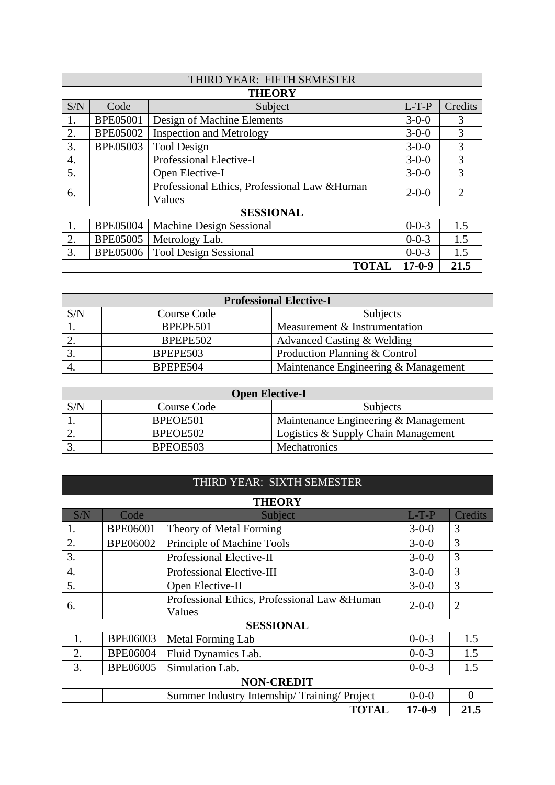|     | THIRD YEAR: FIFTH SEMESTER                              |                                 |             |                             |  |  |
|-----|---------------------------------------------------------|---------------------------------|-------------|-----------------------------|--|--|
|     |                                                         | <b>THEORY</b>                   |             |                             |  |  |
| S/N | Code                                                    | Subject                         | $L-T-P$     | Credits                     |  |  |
| 1.  | <b>BPE05001</b>                                         | Design of Machine Elements      | $3 - 0 - 0$ | 3                           |  |  |
| 2.  | <b>BPE05002</b>                                         | <b>Inspection and Metrology</b> | $3 - 0 - 0$ | 3                           |  |  |
| 3.  | <b>BPE05003</b>                                         | <b>Tool Design</b>              | $3 - 0 - 0$ | 3                           |  |  |
| 4.  | Professional Elective-I                                 |                                 | $3 - 0 - 0$ | 3                           |  |  |
| 5.  |                                                         | Open Elective-I                 | $3 - 0 - 0$ | 3                           |  |  |
| 6.  | Professional Ethics, Professional Law & Human<br>Values |                                 | $2 - 0 - 0$ | $\mathcal{D}_{\mathcal{L}}$ |  |  |
|     | <b>SESSIONAL</b>                                        |                                 |             |                             |  |  |
| 1.  | <b>BPE05004</b>                                         | <b>Machine Design Sessional</b> | $0 - 0 - 3$ | 1.5                         |  |  |
| 2.  | <b>BPE05005</b>                                         | Metrology Lab.                  | $0 - 0 - 3$ | 1.5                         |  |  |
| 3.  | <b>BPE05006</b>                                         | <b>Tool Design Sessional</b>    | $0 - 0 - 3$ | 1.5                         |  |  |
|     | $17-0-9$<br>21.5<br><b>TOTAL</b>                        |                                 |             |                             |  |  |

| <b>Professional Elective-I</b> |             |                                      |  |  |
|--------------------------------|-------------|--------------------------------------|--|--|
| S/N                            | Course Code | <b>Subjects</b>                      |  |  |
|                                | BPEPE501    | Measurement & Instrumentation        |  |  |
|                                | BPEPE502    | Advanced Casting & Welding           |  |  |
|                                | BPEPE503    | Production Planning & Control        |  |  |
|                                | BPEPE504    | Maintenance Engineering & Management |  |  |

|     | <b>Open Elective-I</b> |                                      |  |  |  |  |
|-----|------------------------|--------------------------------------|--|--|--|--|
| S/N | Course Code            | Subjects                             |  |  |  |  |
|     | BPEOE501               | Maintenance Engineering & Management |  |  |  |  |
|     | BPEOE502               | Logistics & Supply Chain Management  |  |  |  |  |
|     | BPEOE503               | Mechatronics                         |  |  |  |  |

## THIRD YEAR: SIXTH SEMESTER

| <b>THEORY</b>     |                                                         |                                             |             |                |  |
|-------------------|---------------------------------------------------------|---------------------------------------------|-------------|----------------|--|
| S/N               | Code                                                    | Subject                                     | $L-T-P$     | Credits        |  |
| 1.                | <b>BPE06001</b>                                         | Theory of Metal Forming                     | $3 - 0 - 0$ | 3              |  |
| 2.                | <b>BPE06002</b>                                         | Principle of Machine Tools                  | $3 - 0 - 0$ | 3              |  |
| 3.                |                                                         | Professional Elective-II                    | $3 - 0 - 0$ | 3              |  |
| $\overline{4}$ .  |                                                         | Professional Elective-III                   | $3-0-0$     | 3              |  |
| 5.                |                                                         | Open Elective-II                            | $3 - 0 - 0$ | 3              |  |
| 6.                | Professional Ethics, Professional Law & Human<br>Values |                                             | $2 - 0 - 0$ | $\overline{2}$ |  |
|                   |                                                         | <b>SESSIONAL</b>                            |             |                |  |
| 1.                | <b>BPE06003</b>                                         | Metal Forming Lab                           | $0 - 0 - 3$ | 1.5            |  |
| 2.                | <b>BPE06004</b>                                         | Fluid Dynamics Lab.                         | $0 - 0 - 3$ | 1.5            |  |
| 3.                | <b>BPE06005</b>                                         | Simulation Lab.                             | $0 - 0 - 3$ | 1.5            |  |
| <b>NON-CREDIT</b> |                                                         |                                             |             |                |  |
|                   |                                                         | Summer Industry Internship/Training/Project | $0 - 0 - 0$ | $\Omega$       |  |
|                   | <b>TOTAL</b><br>$17-0-9$<br>21.5                        |                                             |             |                |  |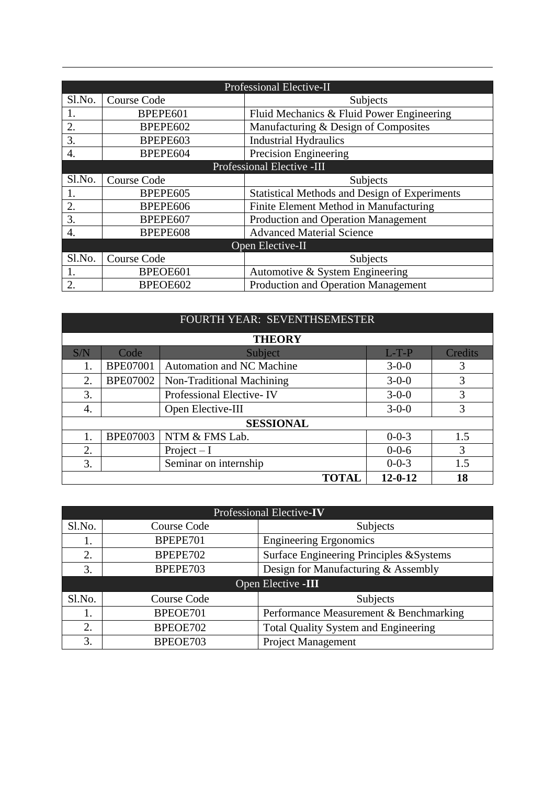| Professional Elective-II   |                                |                                                      |  |  |
|----------------------------|--------------------------------|------------------------------------------------------|--|--|
| Sl.No.                     | <b>Course Code</b><br>Subjects |                                                      |  |  |
| 1.                         | BPEPE601                       | Fluid Mechanics & Fluid Power Engineering            |  |  |
| 2.                         | BPEPE602                       | Manufacturing & Design of Composites                 |  |  |
| 3.                         | BPEPE603                       | <b>Industrial Hydraulics</b>                         |  |  |
| $\overline{4}$ .           | BPEPE604                       | Precision Engineering                                |  |  |
| Professional Elective -III |                                |                                                      |  |  |
| Sl.No.                     | Course Code                    | Subjects                                             |  |  |
|                            | BPEPE605                       | <b>Statistical Methods and Design of Experiments</b> |  |  |
| $\overline{2}$ .           | BPEPE606                       | Finite Element Method in Manufacturing               |  |  |
| 3.                         | BPEPE607                       | Production and Operation Management                  |  |  |
| $\overline{4}$ .           | BPEPE608                       | <b>Advanced Material Science</b>                     |  |  |
|                            |                                | Open Elective-II                                     |  |  |
| Sl.No.                     | Course Code                    | Subjects                                             |  |  |
|                            | BPEOE601                       | Automotive & System Engineering                      |  |  |
| 2.                         | BPEOE602                       | Production and Operation Management                  |  |  |

|     | FOURTH YEAR: SEVENTHSEMESTER        |                                  |             |         |  |  |
|-----|-------------------------------------|----------------------------------|-------------|---------|--|--|
|     |                                     | <b>THEORY</b>                    |             |         |  |  |
| S/N | Code                                | Subject                          | $L-T-P$     | Credits |  |  |
| 1.  | <b>BPE07001</b>                     | <b>Automation and NC Machine</b> | $3-0-0$     | 3       |  |  |
| 2.  | <b>BPE07002</b>                     | Non-Traditional Machining        | $3 - 0 - 0$ | 3       |  |  |
| 3.  |                                     | Professional Elective-IV         | $3-0-0$     | 3       |  |  |
| 4.  |                                     | Open Elective-III                | $3 - 0 - 0$ | 3       |  |  |
|     |                                     | <b>SESSIONAL</b>                 |             |         |  |  |
| 1.  | <b>BPE07003</b>                     | NTM & FMS Lab.                   | $0 - 0 - 3$ | 1.5     |  |  |
| 2.  |                                     | Project $-I$                     | $0 - 0 - 6$ | 3       |  |  |
| 3.  |                                     | Seminar on internship            | $0 - 0 - 3$ | 1.5     |  |  |
|     | $12 - 0 - 12$<br>18<br><b>TOTAL</b> |                                  |             |         |  |  |

| Professional Elective-IV |                    |                                             |  |  |  |
|--------------------------|--------------------|---------------------------------------------|--|--|--|
| Sl.No.                   | Course Code        | Subjects                                    |  |  |  |
| 1.                       | BPEPE701           | <b>Engineering Ergonomics</b>               |  |  |  |
| 2.                       | BPEPE702           | Surface Engineering Principles & Systems    |  |  |  |
| 3.                       | BPEPE703           | Design for Manufacturing & Assembly         |  |  |  |
|                          | Open Elective -III |                                             |  |  |  |
| Sl.No.                   | Course Code        | Subjects                                    |  |  |  |
| 1.                       | BPEOE701           | Performance Measurement & Benchmarking      |  |  |  |
| 2.                       | BPEOE702           | <b>Total Quality System and Engineering</b> |  |  |  |
| 3.                       | BPEOE703           | Project Management                          |  |  |  |